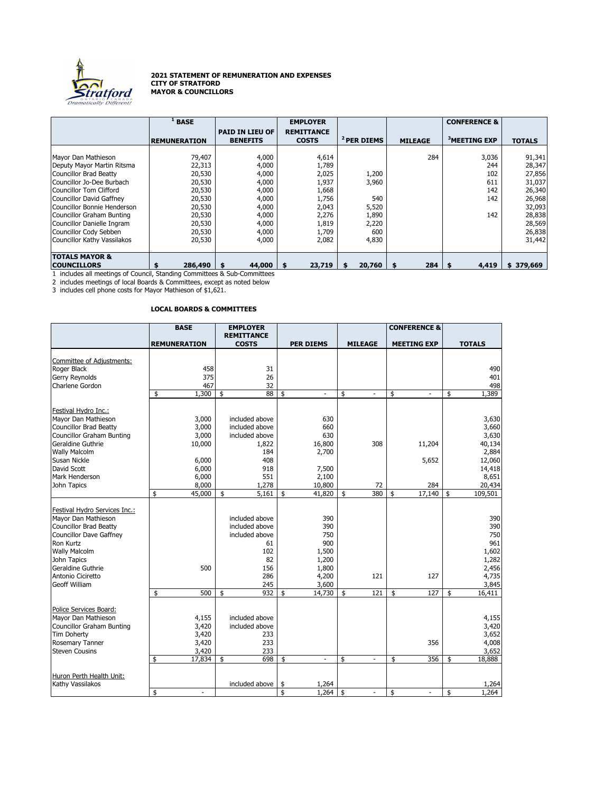

## **2021 STATEMENT OF REMUNERATION AND EXPENSES CITY OF STRATFORD MAYOR & COUNCILLORS**

|                                 | <b>BASE</b>         |                        | <b>EMPLOYER</b>   |                        |                | <b>CONFERENCE &amp;</b>  |               |
|---------------------------------|---------------------|------------------------|-------------------|------------------------|----------------|--------------------------|---------------|
|                                 |                     | <b>PAID IN LIEU OF</b> | <b>REMITTANCE</b> |                        |                | <sup>3</sup> MEETING EXP |               |
|                                 | <b>REMUNERATION</b> | <b>BENEFITS</b>        | <b>COSTS</b>      | <sup>2</sup> PER DIEMS | <b>MILEAGE</b> |                          | <b>TOTALS</b> |
| Mayor Dan Mathieson             | 79,407              | 4,000                  | 4,614             |                        | 284            | 3,036                    | 91,341        |
| Deputy Mayor Martin Ritsma      | 22,313              | 4,000                  | 1,789             |                        |                | 244                      | 28,347        |
| <b>Councillor Brad Beatty</b>   | 20,530              | 4,000                  | 2,025             | 1,200                  |                | 102                      | 27,856        |
| Councillor Jo-Dee Burbach       | 20,530              | 4,000                  | 1,937             | 3,960                  |                | 611                      | 31,037        |
| Councillor Tom Clifford         | 20,530              | 4,000                  | 1,668             |                        |                | 142                      | 26,340        |
| <b>Councillor David Gaffney</b> | 20,530              | 4,000                  | 1,756             | 540                    |                | 142                      | 26,968        |
| Councillor Bonnie Henderson     | 20,530              | 4,000                  | 2,043             | 5,520                  |                |                          | 32,093        |
| Councillor Graham Bunting       | 20,530              | 4,000                  | 2,276             | 1,890                  |                | 142                      | 28,838        |
| Councillor Danielle Ingram      | 20,530              | 4,000                  | 1,819             | 2,220                  |                |                          | 28,569        |
| Councillor Cody Sebben          | 20,530              | 4,000                  | 1,709             | 600                    |                |                          | 26,838        |
| Councillor Kathy Vassilakos     | 20,530              | 4,000                  | 2,082             | 4,830                  |                |                          | 31,442        |
|                                 |                     |                        |                   |                        |                |                          |               |
| <b>TOTALS MAYOR &amp;</b>       |                     |                        |                   |                        |                |                          |               |
| <b>COUNCILLORS</b>              | 286,490             | 44,000                 | 23,719            | 20,760                 | 284            | 4,419                    | \$379,669     |

1 includes all meetings of Council, Standing Committees & Sub-Committees

2 includes meetings of local Boards & Committees, except as noted below

3 includes cell phone costs for Mayor Mathieson of \$1,621.

## **LOCAL BOARDS & COMMITTEES**

|                                | <b>BASE</b>                    | <b>EMPLOYER</b><br><b>REMITTANCE</b> |                                |                      | <b>CONFERENCE &amp;</b>        |                      |
|--------------------------------|--------------------------------|--------------------------------------|--------------------------------|----------------------|--------------------------------|----------------------|
|                                | <b>REMUNERATION</b>            | <b>COSTS</b>                         | <b>PER DIEMS</b>               | <b>MILEAGE</b>       | <b>MEETING EXP</b>             | <b>TOTALS</b>        |
|                                |                                |                                      |                                |                      |                                |                      |
| Committee of Adjustments:      |                                |                                      |                                |                      |                                |                      |
| Roger Black                    | 458                            | 31                                   |                                |                      |                                | 490                  |
| <b>Gerry Reynolds</b>          | 375                            | 26                                   |                                |                      |                                | 401                  |
| Charlene Gordon                | 467                            | 32                                   |                                |                      |                                | 498                  |
|                                | 1,300<br>\$                    | 88<br>\$                             | \$<br>$\overline{\phantom{a}}$ | \$<br>$\overline{a}$ | \$<br>$\overline{\phantom{a}}$ | 1,389<br>\$          |
| Festival Hydro Inc.:           |                                |                                      |                                |                      |                                |                      |
| Mavor Dan Mathieson            | 3,000                          | included above                       | 630                            |                      |                                | 3,630                |
| <b>Councillor Brad Beatty</b>  | 3,000                          | included above                       | 660                            |                      |                                | 3,660                |
| Councillor Graham Bunting      | 3,000                          | included above                       | 630                            |                      |                                | 3,630                |
| Geraldine Guthrie              | 10,000                         | 1,822                                | 16,800                         | 308                  | 11,204                         | 40,134               |
| <b>Wally Malcolm</b>           |                                | 184                                  | 2,700                          |                      |                                | 2,884                |
| <b>Susan Nickle</b>            | 6,000                          | 408                                  |                                |                      | 5,652                          | 12,060               |
| David Scott                    | 6,000                          | 918                                  | 7,500                          |                      |                                | 14,418               |
| Mark Henderson                 | 6,000                          | 551                                  | 2,100                          |                      |                                | 8,651                |
| John Tapics                    | 8,000                          | 1,278                                | 10,800                         | 72                   | 284                            | 20,434               |
|                                | \$<br>45,000                   | 5,161<br>\$                          | 41,820<br>\$                   | 380<br>\$            | 17,140<br>\$                   | 109,501<br>\$        |
|                                |                                |                                      |                                |                      |                                |                      |
| Festival Hydro Services Inc.:  |                                |                                      |                                |                      |                                |                      |
| Mayor Dan Mathieson            |                                | included above                       | 390                            |                      |                                | 390                  |
| <b>Councillor Brad Beatty</b>  |                                | included above                       | 390                            |                      |                                | 390                  |
| <b>Councillor Dave Gaffney</b> |                                | included above                       | 750                            |                      |                                | 750                  |
| Ron Kurtz                      |                                | 61                                   | 900                            |                      |                                | 961                  |
| <b>Wally Malcolm</b>           |                                | 102                                  | 1,500                          |                      |                                | 1,602                |
| John Tapics                    |                                | 82                                   | 1,200                          |                      |                                | 1,282                |
| Geraldine Guthrie              | 500                            | 156                                  | 1,800                          |                      |                                | 2,456                |
| Antonio Ciciretto              |                                | 286                                  | 4,200                          | 121                  | 127                            | 4,735                |
| <b>Geoff William</b>           |                                | 245                                  | 3,600                          |                      |                                | 3,845                |
|                                | \$<br>500                      | 932<br>\$                            | \$<br>14,730                   | 121<br>\$            | 127<br>\$                      | \$<br>16,411         |
|                                |                                |                                      |                                |                      |                                |                      |
| Police Services Board:         |                                |                                      |                                |                      |                                |                      |
| Mayor Dan Mathieson            | 4,155                          | included above                       |                                |                      |                                | 4,155                |
| Councillor Graham Bunting      | 3,420                          | included above                       |                                |                      |                                | 3,420                |
| <b>Tim Doherty</b>             | 3,420                          | 233                                  |                                |                      |                                | 3,652                |
| Rosemary Tanner                | 3,420                          | 233                                  |                                |                      | 356                            | 4,008                |
| <b>Steven Cousins</b>          | 3,420                          | 233                                  |                                |                      |                                | 3,652                |
|                                | 17,834<br>\$                   | 698<br>\$                            | \$<br>$\overline{a}$           | \$<br>$\overline{a}$ | 356<br>\$                      | 18,888<br>\$         |
|                                |                                |                                      |                                |                      |                                |                      |
| Huron Perth Health Unit:       |                                |                                      |                                |                      |                                |                      |
| Kathy Vassilakos               | \$<br>$\overline{\phantom{a}}$ | included above                       | 1,264<br>\$<br>\$<br>1,264     | \$                   | \$<br>$\overline{\phantom{a}}$ | 1,264<br>\$<br>1.264 |
|                                |                                |                                      |                                |                      |                                |                      |